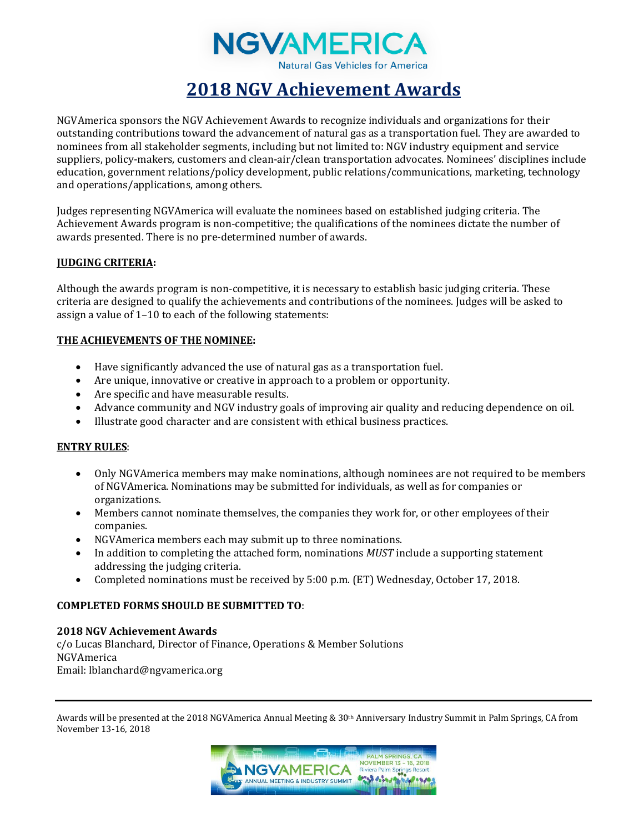

# **2[018 NGV Achievement Award](https://www.ngvamerica.org/)s**

NGVAmerica sponsors the NGV Achievement Awards to recognize individuals and organizations for their outstanding contributions toward the advancement of natural gas as a transportation fuel. They are awarded to nominees from all stakeholder segments, including but not limited to: NGV industry equipment and service suppliers, policy-makers, customers and clean-air/clean transportation advocates. Nominees' disciplines include education, government relations/policy development, public relations/communications, marketing, technology and operations/applications, among others.

Judges representing NGVAmerica will evaluate the nominees based on established judging criteria. The Achievement Awards program is non-competitive; the qualifications of the nominees dictate the number of awards presented. There is no pre-determined number of awards.

#### **JUDGING CRITERIA:**

Although the awards program is non-competitive, it is necessary to establish basic judging criteria. These criteria are designed to qualify the achievements and contributions of the nominees. Judges will be asked to assign a value of 1–10 to each of the following statements:

#### **THE ACHIEVEMENTS OF THE NOMINEE:**

- Have significantly advanced the use of natural gas as a transportation fuel.
- Are unique, innovative or creative in approach to a problem or opportunity.
- Are specific and have measurable results.
- Advance community and NGV industry goals of improving air quality and reducing dependence on oil.
- Illustrate good character and are consistent with ethical business practices.

#### **ENTRY RULES**:

- Only NGVAmerica members may make nominations, although nominees are not required to be members of NGVAmerica. Nominations may be submitted for individuals, as well as for companies or organizations.
- Members cannot nominate themselves, the companies they work for, or other employees of their companies.
- NGVAmerica members each may submit up to three nominations.
- In addition to completing the attached form, nominations *MUST* include a supporting statement addressing the judging criteria.
- Completed nominations must be received by 5:00 p.m. (ET) Wednesday, October 17, 2018.

#### **COMPLETED FORMS SHOULD BE SUBMITTED TO**:

#### **2018 NGV Achievement Awards**

c/o Lucas Blanchard, Director of Finance, Operations & Member Solutions NGVAmerica Email: lblanchard@ngvamerica.org

Awards will be presented at the 2018 NGVAmerica Annual Meeting & 30<sup>th</sup> Anniversary Industry Summit in Palm Springs, CA from November 13-16, 2018

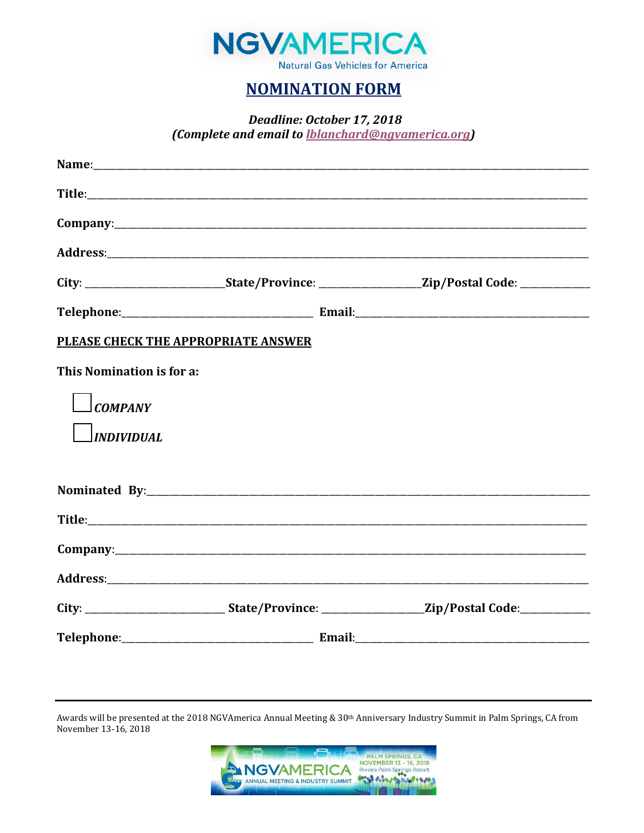

## **NOMINATION FORM**

Deadline: October 17, 2018

(Complete and email to **lblanchard@ngvamerica.org**)

| City: __________________________________State/Province: ________________________Zip/Postal Code: _____________ |  |  |  |
|----------------------------------------------------------------------------------------------------------------|--|--|--|
|                                                                                                                |  |  |  |
| PLEASE CHECK THE APPROPRIATE ANSWER                                                                            |  |  |  |
| This Nomination is for a:                                                                                      |  |  |  |
| <b>COMPANY</b>                                                                                                 |  |  |  |
| $\Box$ INDIVIDUAL                                                                                              |  |  |  |
|                                                                                                                |  |  |  |
|                                                                                                                |  |  |  |
|                                                                                                                |  |  |  |
|                                                                                                                |  |  |  |
|                                                                                                                |  |  |  |
| City: ________________________________State/Province: _________________________Zip/Postal Code:______________  |  |  |  |
|                                                                                                                |  |  |  |

Awards will be presented at the 2018 NGVAmerica Annual Meeting & 30<sup>th</sup> Anniversary Industry Summit in Palm Springs, CA from November 13-16, 2018